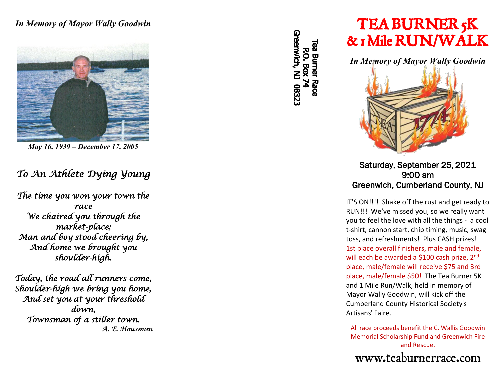#### *In Memory of Mayor Wally Goodwin*



*May 16, 1939 – December 17, 2005*

### *To An Athlete Dying Young*

*The time you won your town the race We chaired you through the market -place; Man and boy stood cheering by, And home we brought you shoulder-high.* 

*Today, the road all runners come, Shoulder-high we bring you home, And set you at your threshold down, Townsman of a stiller town. A. E. Housman* 

*In Memory of Mayor Wally Goodwin*



## 9:00 am Greenwich, Cumberland County, NJ

IT 'S ON!!!! Shake off the rust and get ready to RUN!!! We 've missed you, so we really want you to feel the love with all the things - a cool t -shirt, cannon start, chip timing, music , swag toss, and refreshments! Plus CASH prizes! 1st place overall finishers, male and female, will each be awarded a \$100 cash prize, 2<sup>nd</sup> place, male/female will receive \$75 and 3rd place, male/female \$50 ! The Tea Burner 5K and 1 Mile Run/Walk, held in memory of Mayor Wally Goodwin, will kick off the Cumberland County Historical Society 's Artisans ' Faire.

All race proceeds benefit the C. Wallis Goodwin Memorial Scholarship Fund and Greenwich Fire and Rescue.

### www.teaburnerrace.com